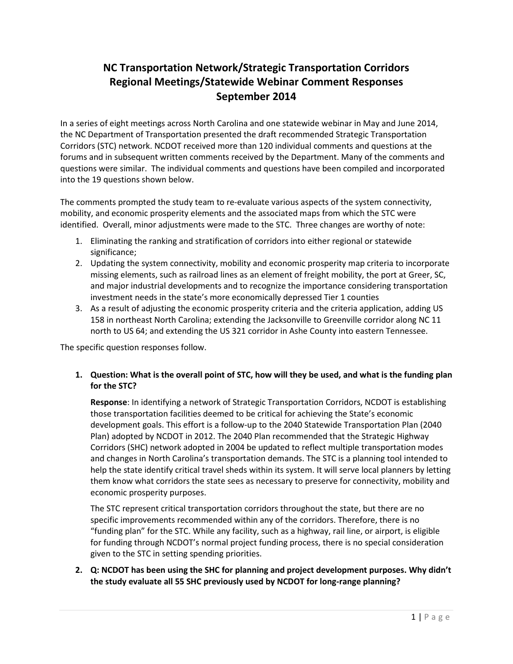# NC Transportation Network/Strategic Transportation Corridors Regional Meetings/Statewide Webinar Comment Responses September 2014

In a series of eight meetings across North Carolina and one statewide webinar in May and June 2014, the NC Department of Transportation presented the draft recommended Strategic Transportation Corridors (STC) network. NCDOT received more than 120 individual comments and questions at the forums and in subsequent written comments received by the Department. Many of the comments and questions were similar. The individual comments and questions have been compiled and incorporated into the 19 questions shown below.

The comments prompted the study team to re-evaluate various aspects of the system connectivity, mobility, and economic prosperity elements and the associated maps from which the STC were identified. Overall, minor adjustments were made to the STC. Three changes are worthy of note:

- 1. Eliminating the ranking and stratification of corridors into either regional or statewide significance;
- 2. Updating the system connectivity, mobility and economic prosperity map criteria to incorporate missing elements, such as railroad lines as an element of freight mobility, the port at Greer, SC, and major industrial developments and to recognize the importance considering transportation investment needs in the state's more economically depressed Tier 1 counties
- 3. As a result of adjusting the economic prosperity criteria and the criteria application, adding US 158 in northeast North Carolina; extending the Jacksonville to Greenville corridor along NC 11 north to US 64; and extending the US 321 corridor in Ashe County into eastern Tennessee.

The specific question responses follow.

# 1. Question: What is the overall point of STC, how will they be used, and what is the funding plan for the STC?

Response: In identifying a network of Strategic Transportation Corridors, NCDOT is establishing those transportation facilities deemed to be critical for achieving the State's economic development goals. This effort is a follow-up to the 2040 Statewide Transportation Plan (2040 Plan) adopted by NCDOT in 2012. The 2040 Plan recommended that the Strategic Highway Corridors (SHC) network adopted in 2004 be updated to reflect multiple transportation modes and changes in North Carolina's transportation demands. The STC is a planning tool intended to help the state identify critical travel sheds within its system. It will serve local planners by letting them know what corridors the state sees as necessary to preserve for connectivity, mobility and economic prosperity purposes.

The STC represent critical transportation corridors throughout the state, but there are no specific improvements recommended within any of the corridors. Therefore, there is no "funding plan" for the STC. While any facility, such as a highway, rail line, or airport, is eligible for funding through NCDOT's normal project funding process, there is no special consideration given to the STC in setting spending priorities.

2. Q: NCDOT has been using the SHC for planning and project development purposes. Why didn't the study evaluate all 55 SHC previously used by NCDOT for long-range planning?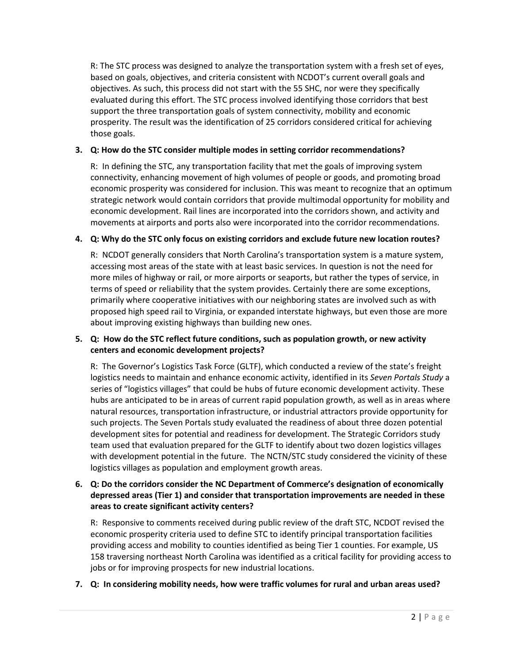R: The STC process was designed to analyze the transportation system with a fresh set of eyes, based on goals, objectives, and criteria consistent with NCDOT's current overall goals and objectives. As such, this process did not start with the 55 SHC, nor were they specifically evaluated during this effort. The STC process involved identifying those corridors that best support the three transportation goals of system connectivity, mobility and economic prosperity. The result was the identification of 25 corridors considered critical for achieving those goals.

# 3. Q: How do the STC consider multiple modes in setting corridor recommendations?

R: In defining the STC, any transportation facility that met the goals of improving system connectivity, enhancing movement of high volumes of people or goods, and promoting broad economic prosperity was considered for inclusion. This was meant to recognize that an optimum strategic network would contain corridors that provide multimodal opportunity for mobility and economic development. Rail lines are incorporated into the corridors shown, and activity and movements at airports and ports also were incorporated into the corridor recommendations.

# 4. Q: Why do the STC only focus on existing corridors and exclude future new location routes?

R: NCDOT generally considers that North Carolina's transportation system is a mature system, accessing most areas of the state with at least basic services. In question is not the need for more miles of highway or rail, or more airports or seaports, but rather the types of service, in terms of speed or reliability that the system provides. Certainly there are some exceptions, primarily where cooperative initiatives with our neighboring states are involved such as with proposed high speed rail to Virginia, or expanded interstate highways, but even those are more about improving existing highways than building new ones.

# 5. Q: How do the STC reflect future conditions, such as population growth, or new activity centers and economic development projects?

R: The Governor's Logistics Task Force (GLTF), which conducted a review of the state's freight logistics needs to maintain and enhance economic activity, identified in its Seven Portals Study a series of "logistics villages" that could be hubs of future economic development activity. These hubs are anticipated to be in areas of current rapid population growth, as well as in areas where natural resources, transportation infrastructure, or industrial attractors provide opportunity for such projects. The Seven Portals study evaluated the readiness of about three dozen potential development sites for potential and readiness for development. The Strategic Corridors study team used that evaluation prepared for the GLTF to identify about two dozen logistics villages with development potential in the future. The NCTN/STC study considered the vicinity of these logistics villages as population and employment growth areas.

# 6. Q: Do the corridors consider the NC Department of Commerce's designation of economically depressed areas (Tier 1) and consider that transportation improvements are needed in these areas to create significant activity centers?

R: Responsive to comments received during public review of the draft STC, NCDOT revised the economic prosperity criteria used to define STC to identify principal transportation facilities providing access and mobility to counties identified as being Tier 1 counties. For example, US 158 traversing northeast North Carolina was identified as a critical facility for providing access to jobs or for improving prospects for new industrial locations.

#### 7. Q: In considering mobility needs, how were traffic volumes for rural and urban areas used?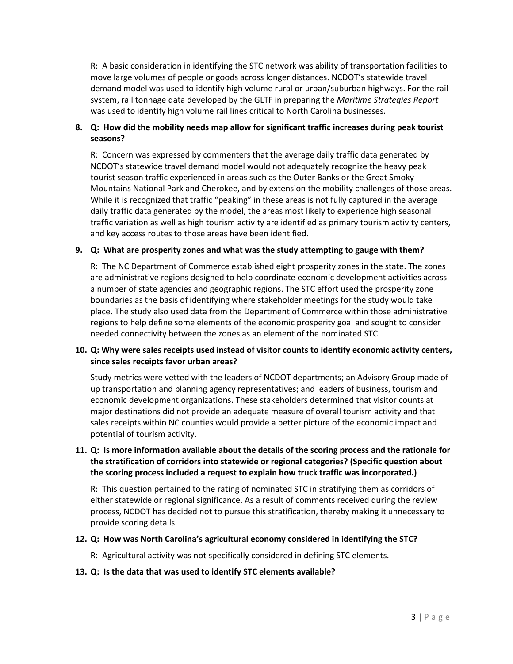R: A basic consideration in identifying the STC network was ability of transportation facilities to move large volumes of people or goods across longer distances. NCDOT's statewide travel demand model was used to identify high volume rural or urban/suburban highways. For the rail system, rail tonnage data developed by the GLTF in preparing the Maritime Strategies Report was used to identify high volume rail lines critical to North Carolina businesses.

# 8. Q: How did the mobility needs map allow for significant traffic increases during peak tourist seasons?

R: Concern was expressed by commenters that the average daily traffic data generated by NCDOT's statewide travel demand model would not adequately recognize the heavy peak tourist season traffic experienced in areas such as the Outer Banks or the Great Smoky Mountains National Park and Cherokee, and by extension the mobility challenges of those areas. While it is recognized that traffic "peaking" in these areas is not fully captured in the average daily traffic data generated by the model, the areas most likely to experience high seasonal traffic variation as well as high tourism activity are identified as primary tourism activity centers, and key access routes to those areas have been identified.

#### 9. Q: What are prosperity zones and what was the study attempting to gauge with them?

R: The NC Department of Commerce established eight prosperity zones in the state. The zones are administrative regions designed to help coordinate economic development activities across a number of state agencies and geographic regions. The STC effort used the prosperity zone boundaries as the basis of identifying where stakeholder meetings for the study would take place. The study also used data from the Department of Commerce within those administrative regions to help define some elements of the economic prosperity goal and sought to consider needed connectivity between the zones as an element of the nominated STC.

# 10. Q: Why were sales receipts used instead of visitor counts to identify economic activity centers, since sales receipts favor urban areas?

Study metrics were vetted with the leaders of NCDOT departments; an Advisory Group made of up transportation and planning agency representatives; and leaders of business, tourism and economic development organizations. These stakeholders determined that visitor counts at major destinations did not provide an adequate measure of overall tourism activity and that sales receipts within NC counties would provide a better picture of the economic impact and potential of tourism activity.

# 11. Q: Is more information available about the details of the scoring process and the rationale for the stratification of corridors into statewide or regional categories? (Specific question about the scoring process included a request to explain how truck traffic was incorporated.)

R: This question pertained to the rating of nominated STC in stratifying them as corridors of either statewide or regional significance. As a result of comments received during the review process, NCDOT has decided not to pursue this stratification, thereby making it unnecessary to provide scoring details.

#### 12. Q: How was North Carolina's agricultural economy considered in identifying the STC?

R: Agricultural activity was not specifically considered in defining STC elements.

#### 13. Q: Is the data that was used to identify STC elements available?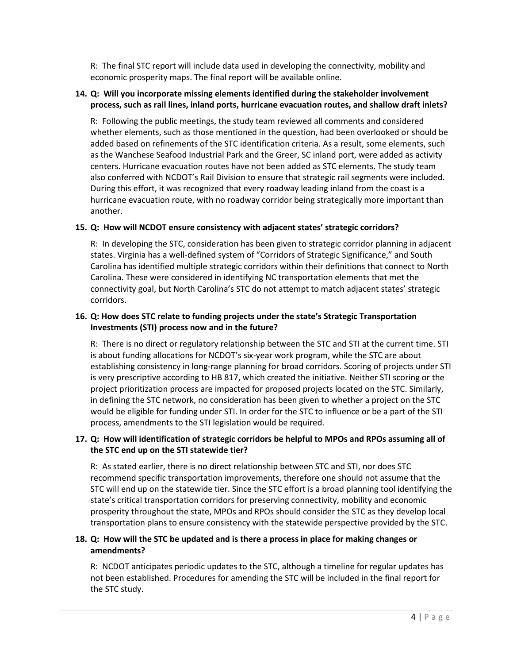R: The final STC report will include data used in developing the connectivity, mobility and economic prosperity maps. The final report will be available online.

# 14. Q: Will you incorporate missing elements identified during the stakeholder involvement process, such as rail lines, inland ports, hurricane evacuation routes, and shallow draft inlets?

R: Following the public meetings, the study team reviewed all comments and considered whether elements, such as those mentioned in the question, had been overlooked or should be added based on refinements of the STC identification criteria. As a result, some elements, such as the Wanchese Seafood Industrial Park and the Greer, SC inland port, were added as activity centers. Hurricane evacuation routes have not been added as STC elements. The study team also conferred with NCDOT's Rail Division to ensure that strategic rail segments were included. During this effort, it was recognized that every roadway leading inland from the coast is a hurricane evacuation route, with no roadway corridor being strategically more important than another.

# 15. Q: How will NCDOT ensure consistency with adjacent states' strategic corridors?

R: In developing the STC, consideration has been given to strategic corridor planning in adjacent states. Virginia has a well-defined system of "Corridors of Strategic Significance," and South Carolina has identified multiple strategic corridors within their definitions that connect to North Carolina. These were considered in identifying NC transportation elements that met the connectivity goal, but North Carolina's STC do not attempt to match adjacent states' strategic corridors.

# 16. Q: How does STC relate to funding projects under the state's Strategic Transportation Investments (STI) process now and in the future?

R: There is no direct or regulatory relationship between the STC and STI at the current time. STI is about funding allocations for NCDOT's six-year work program, while the STC are about establishing consistency in long-range planning for broad corridors. Scoring of projects under STI is very prescriptive according to HB 817, which created the initiative. Neither STI scoring or the project prioritization process are impacted for proposed projects located on the STC. Similarly, in defining the STC network, no consideration has been given to whether a project on the STC would be eligible for funding under STI. In order for the STC to influence or be a part of the STI process, amendments to the STI legislation would be required.

# 17. Q: How will identification of strategic corridors be helpful to MPOs and RPOs assuming all of the STC end up on the STI statewide tier?

R: As stated earlier, there is no direct relationship between STC and STI, nor does STC recommend specific transportation improvements, therefore one should not assume that the STC will end up on the statewide tier. Since the STC effort is a broad planning tool identifying the state's critical transportation corridors for preserving connectivity, mobility and economic prosperity throughout the state, MPOs and RPOs should consider the STC as they develop local transportation plans to ensure consistency with the statewide perspective provided by the STC.

# 18. Q: How will the STC be updated and is there a process in place for making changes or amendments?

R: NCDOT anticipates periodic updates to the STC, although a timeline for regular updates has not been established. Procedures for amending the STC will be included in the final report for the STC study.